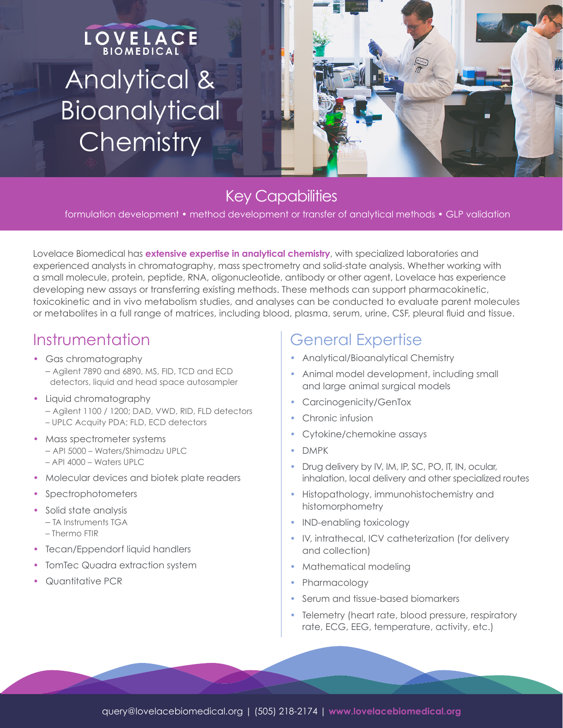## LOVELACE Analytical & **Bioanalytical Chemistry**



### Key Capabilities

• formulation development • method development or transfer of analytical methods • GLP validation

Lovelace Biomedical has **extensive expertise in analytical chemistry**, with specialized laboratories and experienced analysts in chromatography, mass spectrometry and solid-state analysis. Whether working with a small molecule, protein, peptide, RNA, oligonucleotide, antibody or other agent, Lovelace has experience developing new assays or transferring existing methods. These methods can support pharmacokinetic, toxicokinetic and in vivo metabolism studies, and analyses can be conducted to evaluate parent molecules or metabolites in a full range of matrices, including blood, plasma, serum, urine, CSF, pleural fluid and tissue.

#### Instrumentation

- Gas chromatography
	- Agilent 7890 and 6890, MS, FID, TCD and ECD detectors, liquid and head space autosampler
- Liquid chromatography – Agilent 1100 / 1200; DAD, VWD, RID, FLD detectors – UPLC Acquity PDA; FLD, ECD detectors
- Mass spectrometer systems – API 5000 – Waters/Shimadzu UPLC – API 4000 – Waters UPLC
- Molecular devices and biotek plate readers
- Spectrophotometers
- Solid state analysis
	- TA Instruments TGA
	- Thermo FTIR
- Tecan/Eppendorf liquid handlers
- TomTec Quadra extraction system
- Quantitative PCR

### General Expertise

- Analytical/Bioanalytical Chemistry
- Animal model development, including small and large animal surgical models
- Carcinogenicity/GenTox
- Chronic infusion
- Cytokine/chemokine assays
- DMPK
- Drug delivery by IV, IM, IP, SC, PO, IT, IN, ocular, inhalation, local delivery and other specialized routes
- Histopathology, immunohistochemistry and histomorphometry
- IND-enabling toxicology
- IV, intrathecal, ICV catheterization (for delivery and collection)
- Mathematical modeling
- Pharmacology
- Serum and tissue-based biomarkers
- Telemetry (heart rate, blood pressure, respiratory rate, ECG, EEG, temperature, activity, etc.)